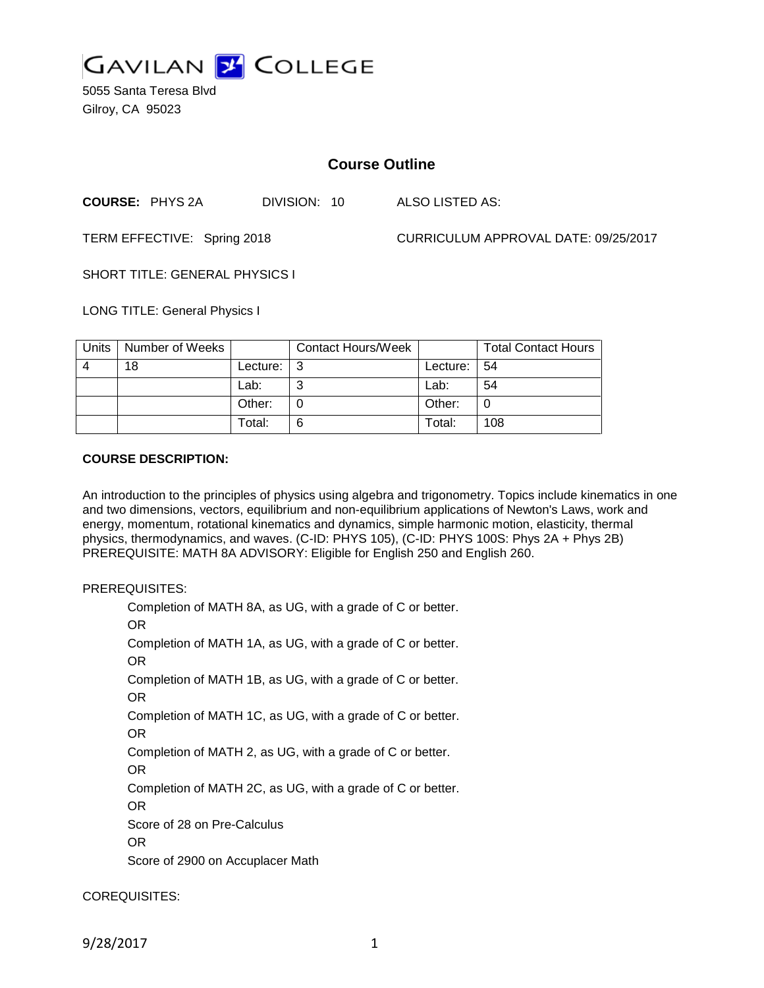

5055 Santa Teresa Blvd Gilroy, CA 95023

# **Course Outline**

**COURSE:** PHYS 2A DIVISION: 10 ALSO LISTED AS:

TERM EFFECTIVE: Spring 2018 CURRICULUM APPROVAL DATE: 09/25/2017

SHORT TITLE: GENERAL PHYSICS I

LONG TITLE: General Physics I

| Units | Number of Weeks |          | <b>Contact Hours/Week</b> |          | <b>Total Contact Hours</b> |
|-------|-----------------|----------|---------------------------|----------|----------------------------|
| 4     | 18              | Lecture: | l 3                       | Lecture: | -54                        |
|       |                 | Lab:     | ⌒                         | Lab:     | 54                         |
|       |                 | Other:   |                           | Other:   | 0                          |
|       |                 | Total:   | 6                         | Total:   | 108                        |

# **COURSE DESCRIPTION:**

An introduction to the principles of physics using algebra and trigonometry. Topics include kinematics in one and two dimensions, vectors, equilibrium and non-equilibrium applications of Newton's Laws, work and energy, momentum, rotational kinematics and dynamics, simple harmonic motion, elasticity, thermal physics, thermodynamics, and waves. (C-ID: PHYS 105), (C-ID: PHYS 100S: Phys 2A + Phys 2B) PREREQUISITE: MATH 8A ADVISORY: Eligible for English 250 and English 260.

#### PREREQUISITES:

Completion of MATH 8A, as UG, with a grade of C or better. OR Completion of MATH 1A, as UG, with a grade of C or better. OR Completion of MATH 1B, as UG, with a grade of C or better. OR Completion of MATH 1C, as UG, with a grade of C or better. OR Completion of MATH 2, as UG, with a grade of C or better. OR Completion of MATH 2C, as UG, with a grade of C or better. OR Score of 28 on Pre-Calculus OR Score of 2900 on Accuplacer Math

COREQUISITES:

9/28/2017 1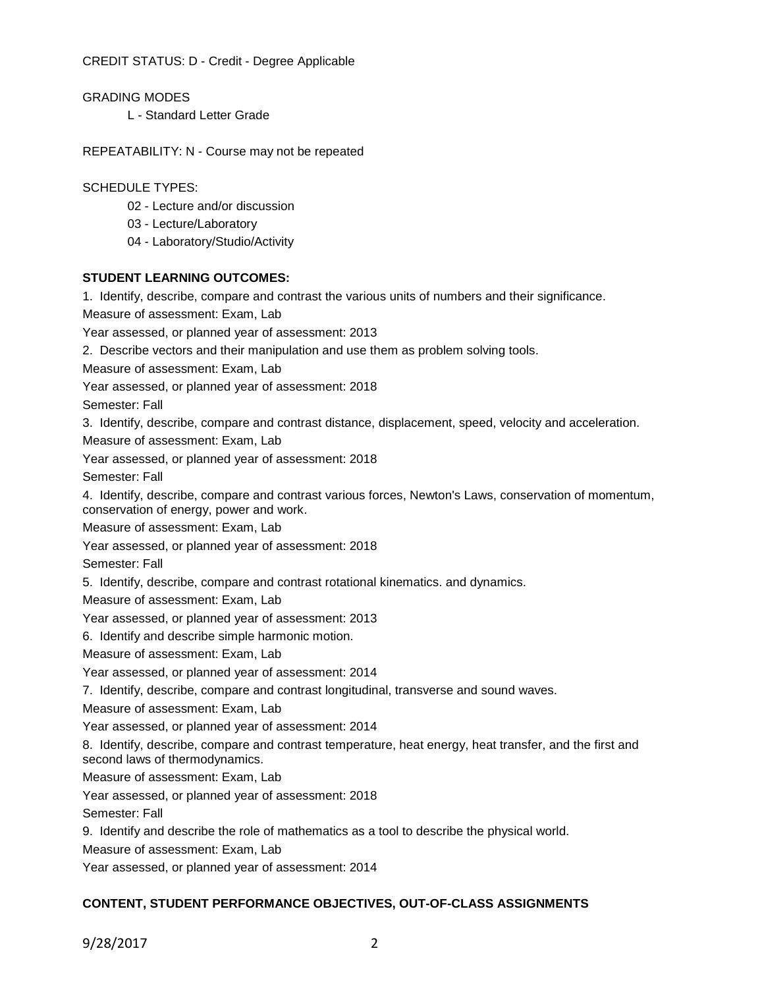CREDIT STATUS: D - Credit - Degree Applicable

GRADING MODES

L - Standard Letter Grade

REPEATABILITY: N - Course may not be repeated

## SCHEDULE TYPES:

- 02 Lecture and/or discussion
- 03 Lecture/Laboratory
- 04 Laboratory/Studio/Activity

# **STUDENT LEARNING OUTCOMES:**

1. Identify, describe, compare and contrast the various units of numbers and their significance.

Measure of assessment: Exam, Lab

Year assessed, or planned year of assessment: 2013

2. Describe vectors and their manipulation and use them as problem solving tools.

Measure of assessment: Exam, Lab

Year assessed, or planned year of assessment: 2018

Semester: Fall

3. Identify, describe, compare and contrast distance, displacement, speed, velocity and acceleration.

Measure of assessment: Exam, Lab

Year assessed, or planned year of assessment: 2018

Semester: Fall

4. Identify, describe, compare and contrast various forces, Newton's Laws, conservation of momentum, conservation of energy, power and work.

Measure of assessment: Exam, Lab

Year assessed, or planned year of assessment: 2018

Semester: Fall

5. Identify, describe, compare and contrast rotational kinematics. and dynamics.

Measure of assessment: Exam, Lab

Year assessed, or planned year of assessment: 2013

6. Identify and describe simple harmonic motion.

Measure of assessment: Exam, Lab

Year assessed, or planned year of assessment: 2014

7. Identify, describe, compare and contrast longitudinal, transverse and sound waves.

Measure of assessment: Exam, Lab

Year assessed, or planned year of assessment: 2014

8. Identify, describe, compare and contrast temperature, heat energy, heat transfer, and the first and second laws of thermodynamics.

Measure of assessment: Exam, Lab

Year assessed, or planned year of assessment: 2018

Semester: Fall

9. Identify and describe the role of mathematics as a tool to describe the physical world.

Measure of assessment: Exam, Lab

Year assessed, or planned year of assessment: 2014

# **CONTENT, STUDENT PERFORMANCE OBJECTIVES, OUT-OF-CLASS ASSIGNMENTS**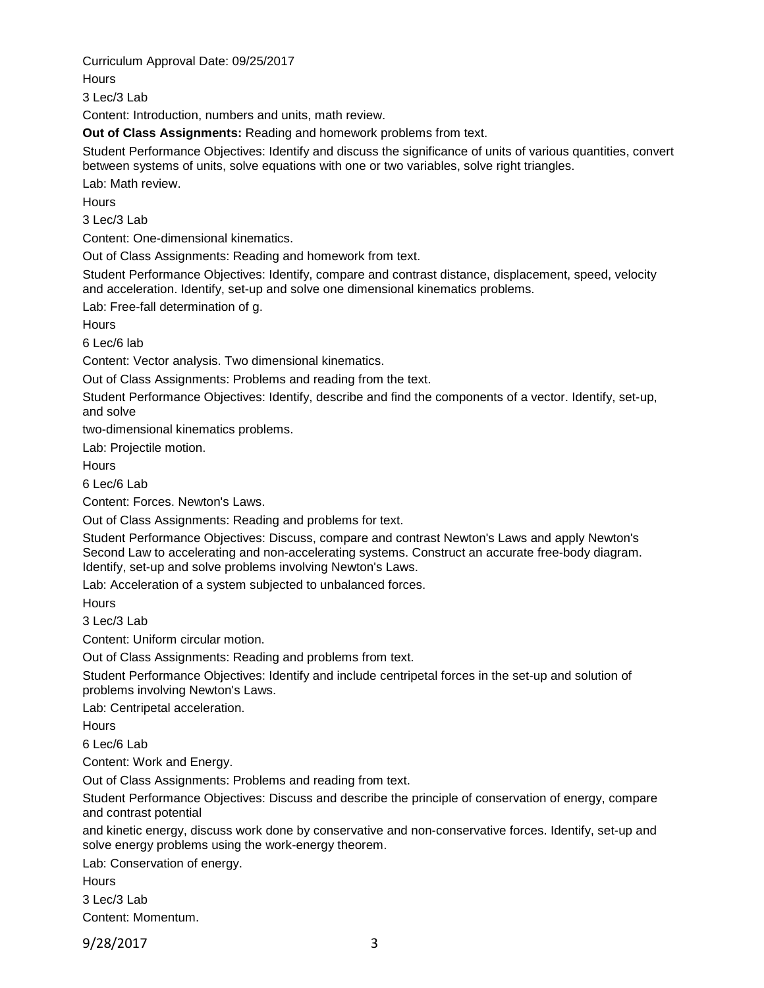Curriculum Approval Date: 09/25/2017

**Hours** 

3 Lec/3 Lab

Content: Introduction, numbers and units, math review.

**Out of Class Assignments:** Reading and homework problems from text.

Student Performance Objectives: Identify and discuss the significance of units of various quantities, convert between systems of units, solve equations with one or two variables, solve right triangles.

Lab: Math review.

**Hours** 

3 Lec/3 Lab

Content: One-dimensional kinematics.

Out of Class Assignments: Reading and homework from text.

Student Performance Objectives: Identify, compare and contrast distance, displacement, speed, velocity and acceleration. Identify, set-up and solve one dimensional kinematics problems.

Lab: Free-fall determination of g.

**Hours** 

6 Lec/6 lab

Content: Vector analysis. Two dimensional kinematics.

Out of Class Assignments: Problems and reading from the text.

Student Performance Objectives: Identify, describe and find the components of a vector. Identify, set-up, and solve

two-dimensional kinematics problems.

Lab: Projectile motion.

**Hours** 

6 Lec/6 Lab

Content: Forces. Newton's Laws.

Out of Class Assignments: Reading and problems for text.

Student Performance Objectives: Discuss, compare and contrast Newton's Laws and apply Newton's Second Law to accelerating and non-accelerating systems. Construct an accurate free-body diagram. Identify, set-up and solve problems involving Newton's Laws.

Lab: Acceleration of a system subjected to unbalanced forces.

**Hours** 

3 Lec/3 Lab

Content: Uniform circular motion.

Out of Class Assignments: Reading and problems from text.

Student Performance Objectives: Identify and include centripetal forces in the set-up and solution of problems involving Newton's Laws.

Lab: Centripetal acceleration.

**Hours** 

6 Lec/6 Lab

Content: Work and Energy.

Out of Class Assignments: Problems and reading from text.

Student Performance Objectives: Discuss and describe the principle of conservation of energy, compare and contrast potential

and kinetic energy, discuss work done by conservative and non-conservative forces. Identify, set-up and solve energy problems using the work-energy theorem.

Lab: Conservation of energy.

**Hours** 3 Lec/3 Lab

Content: Momentum.

9/28/2017 3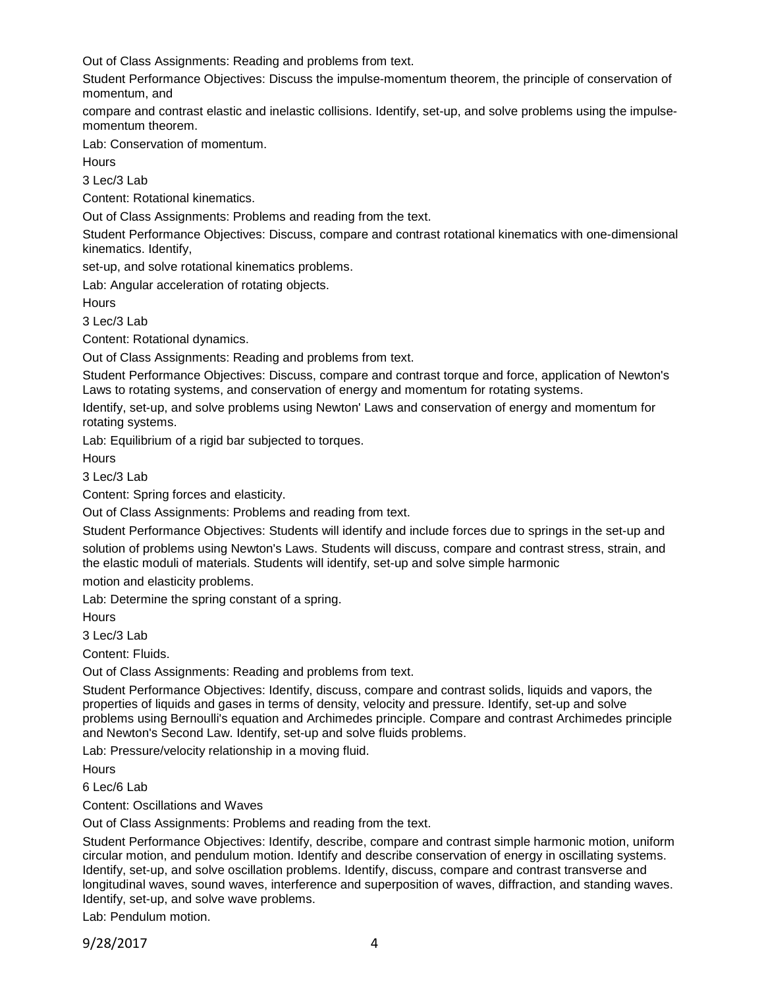Out of Class Assignments: Reading and problems from text.

Student Performance Objectives: Discuss the impulse-momentum theorem, the principle of conservation of momentum, and

compare and contrast elastic and inelastic collisions. Identify, set-up, and solve problems using the impulsemomentum theorem.

Lab: Conservation of momentum.

**Hours** 

3 Lec/3 Lab

Content: Rotational kinematics.

Out of Class Assignments: Problems and reading from the text.

Student Performance Objectives: Discuss, compare and contrast rotational kinematics with one-dimensional kinematics. Identify,

set-up, and solve rotational kinematics problems.

Lab: Angular acceleration of rotating objects.

**Hours** 

3 Lec/3 Lab

Content: Rotational dynamics.

Out of Class Assignments: Reading and problems from text.

Student Performance Objectives: Discuss, compare and contrast torque and force, application of Newton's Laws to rotating systems, and conservation of energy and momentum for rotating systems.

Identify, set-up, and solve problems using Newton' Laws and conservation of energy and momentum for rotating systems.

Lab: Equilibrium of a rigid bar subjected to torques.

**Hours** 

3 Lec/3 Lab

Content: Spring forces and elasticity.

Out of Class Assignments: Problems and reading from text.

Student Performance Objectives: Students will identify and include forces due to springs in the set-up and solution of problems using Newton's Laws. Students will discuss, compare and contrast stress, strain, and the elastic moduli of materials. Students will identify, set-up and solve simple harmonic

motion and elasticity problems.

Lab: Determine the spring constant of a spring.

**Hours** 

3 Lec/3 Lab

Content: Fluids.

Out of Class Assignments: Reading and problems from text.

Student Performance Objectives: Identify, discuss, compare and contrast solids, liquids and vapors, the properties of liquids and gases in terms of density, velocity and pressure. Identify, set-up and solve problems using Bernoulli's equation and Archimedes principle. Compare and contrast Archimedes principle and Newton's Second Law. Identify, set-up and solve fluids problems.

Lab: Pressure/velocity relationship in a moving fluid.

Hours

6 Lec/6 Lab

Content: Oscillations and Waves

Out of Class Assignments: Problems and reading from the text.

Student Performance Objectives: Identify, describe, compare and contrast simple harmonic motion, uniform circular motion, and pendulum motion. Identify and describe conservation of energy in oscillating systems. Identify, set-up, and solve oscillation problems. Identify, discuss, compare and contrast transverse and longitudinal waves, sound waves, interference and superposition of waves, diffraction, and standing waves. Identify, set-up, and solve wave problems.

Lab: Pendulum motion.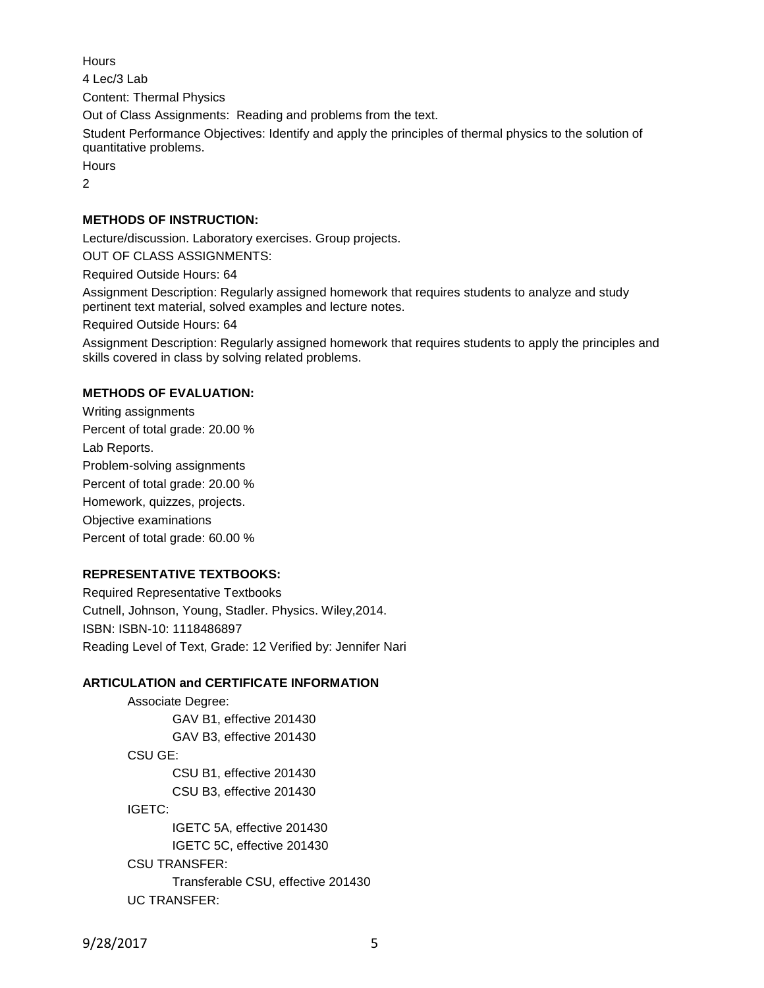**Hours** 4 Lec/3 Lab Content: Thermal Physics Out of Class Assignments: Reading and problems from the text. Student Performance Objectives: Identify and apply the principles of thermal physics to the solution of quantitative problems. **Hours**  $\mathfrak{D}$ 

# **METHODS OF INSTRUCTION:**

Lecture/discussion. Laboratory exercises. Group projects.

OUT OF CLASS ASSIGNMENTS:

Required Outside Hours: 64

Assignment Description: Regularly assigned homework that requires students to analyze and study pertinent text material, solved examples and lecture notes.

Required Outside Hours: 64

Assignment Description: Regularly assigned homework that requires students to apply the principles and skills covered in class by solving related problems.

#### **METHODS OF EVALUATION:**

Writing assignments Percent of total grade: 20.00 % Lab Reports. Problem-solving assignments Percent of total grade: 20.00 % Homework, quizzes, projects. Objective examinations Percent of total grade: 60.00 %

#### **REPRESENTATIVE TEXTBOOKS:**

Required Representative Textbooks Cutnell, Johnson, Young, Stadler. Physics. Wiley,2014. ISBN: ISBN-10: 1118486897 Reading Level of Text, Grade: 12 Verified by: Jennifer Nari

### **ARTICULATION and CERTIFICATE INFORMATION**

Associate Degree: GAV B1, effective 201430 GAV B3, effective 201430 CSU GE: CSU B1, effective 201430 CSU B3, effective 201430 IGETC: IGETC 5A, effective 201430 IGETC 5C, effective 201430 CSU TRANSFER: Transferable CSU, effective 201430 UC TRANSFER:

9/28/2017 5